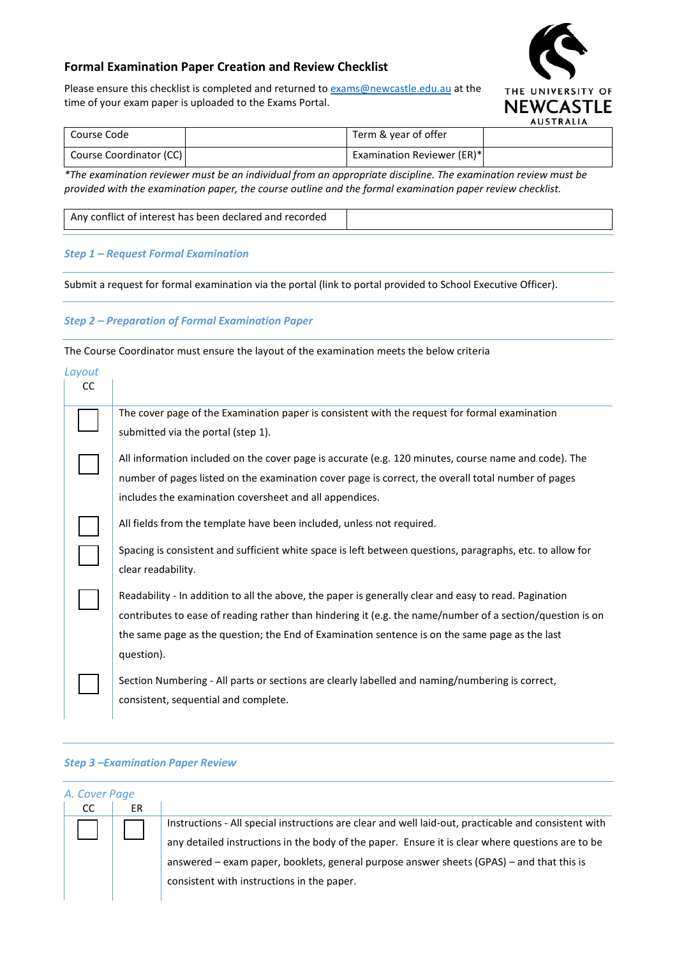## **Formal Examination Paper Creation and Review Checklist**



Please ensure this checklist is completed and returned t[o exams@newcastle.edu.au](mailto:exams@newcastle.edu.au) at the time of your exam paper is uploaded to the Exams Portal.

# **NEWCASTLE AUSTRALIA**

| Course Code             | Term & year of offer              |  |
|-------------------------|-----------------------------------|--|
| Course Coordinator (CC) | <b>Examination Reviewer (ER)*</b> |  |

*\*The examination reviewer must be an individual from an appropriate discipline. The examination review must be provided with the examination paper, the course outline and the formal examination paper review checklist.*

Any conflict of interest has been declared and recorded

### *Step 1 – Request Formal Examination*

Submit a request for formal examination via the portal (link to portal provided to School Executive Officer).

### *Step 2 – Preparation of Formal Examination Paper*

The Course Coordinator must ensure the layout of the examination meets the below criteria

| Layout<br><sub>CC</sub> |                                                                                                                                                                                                                                                                                                                                    |
|-------------------------|------------------------------------------------------------------------------------------------------------------------------------------------------------------------------------------------------------------------------------------------------------------------------------------------------------------------------------|
|                         | The cover page of the Examination paper is consistent with the request for formal examination<br>submitted via the portal (step 1).                                                                                                                                                                                                |
|                         | All information included on the cover page is accurate (e.g. 120 minutes, course name and code). The<br>number of pages listed on the examination cover page is correct, the overall total number of pages                                                                                                                         |
|                         | includes the examination coversheet and all appendices.<br>All fields from the template have been included, unless not required.                                                                                                                                                                                                   |
|                         | Spacing is consistent and sufficient white space is left between questions, paragraphs, etc. to allow for<br>clear readability.                                                                                                                                                                                                    |
|                         | Readability - In addition to all the above, the paper is generally clear and easy to read. Pagination<br>contributes to ease of reading rather than hindering it (e.g. the name/number of a section/question is on<br>the same page as the question; the End of Examination sentence is on the same page as the last<br>question). |
|                         | Section Numbering - All parts or sections are clearly labelled and naming/numbering is correct,<br>consistent, sequential and complete.                                                                                                                                                                                            |

## *Step 3 –Examination Paper Review*

|               | A. Cover Page |                                                                                                      |
|---------------|---------------|------------------------------------------------------------------------------------------------------|
| <sub>CC</sub> | ER            |                                                                                                      |
|               |               | Instructions - All special instructions are clear and well laid-out, practicable and consistent with |
|               |               | any detailed instructions in the body of the paper. Ensure it is clear where questions are to be     |
|               |               | answered - exam paper, booklets, general purpose answer sheets (GPAS) - and that this is             |
|               |               | consistent with instructions in the paper.                                                           |
|               |               |                                                                                                      |